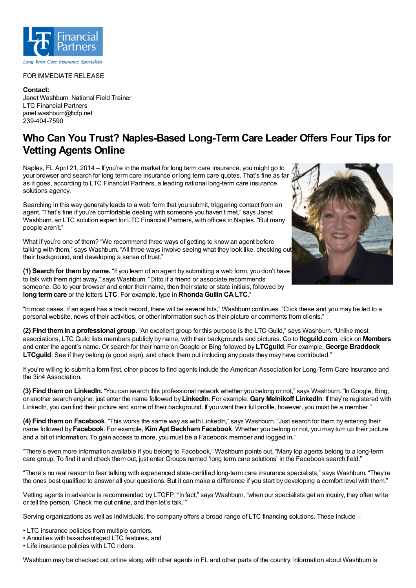

## FOR IMMEDIATE RELEASE

**Contact:** Janet Washburn, National Field Trainer LTC Financial Partners janet.washburn@ltcfp.net 239-404-7590

## **Who Can You Trust? Naples-Based Long-Term Care Leader Offers Four Tips for Vetting Agents Online**

Naples, FL April 21, 2014 – If you're in the market for long term care insurance, you might go to your browser and search for long term care insurance or long term care quotes. That's fine as far as it goes, according to LTC Financial Partners, a leading national long-term care insurance solutions agency.

Searching in this way generally leads to a web form that you submit, triggering contact from an agent. "That's fine if you're comfortable dealing with someone you haven't met," says Janet Washburn, an LTC solution expert for LTC Financial Partners, with offices in Naples. "But many people aren't."

What if you're one of them? "We recommend three ways of getting to know an agent before talking with them," says Washburn. "All three ways involve seeing what they look like, checking out their background, and developing a sense of trust."

**(1) Search for themby name.** "If you learn of an agent by submitting a web form, you don't have to talk with them right away," says Washburn. "Ditto if a friend or associate recommends someone. Go to your browser and enter their name, then their state or state initials, followed by **long termcare** or the letters **LTC**. For example, type in **Rhonda Guilin CALTC**."



"In most cases, if an agent has a track record, there will be several hits," Washburn continues. "Click these and you may be led to a personal website, news of their activities, or other information such as their picture or comments from clients."

**(2) Find themin a professional group.** "An excellent group for this purpose is the LTC Guild," says Washburn. "Unlike most associations, LTC Guild lists members publicly by name, with their backgrounds and pictures. Go to **ltcguild.com**, click on **Members** and enter the agent's name. Or search for their name onGoogle or Bing followed by **LTCguild**. For example, **George Braddock LTCguild**. See if they belong (a good sign), and check them out including any posts they may have contributed."

If you're willing to submit a form first, other places to find agents include the American Association for Long-Term Care Insurance and the 3in4 Association.

**(3) Find themon LinkedIn.** "You can search this professional network whether you belong or not," says Washburn. "InGoogle, Bing, or another search engine, just enter the name followed by **LinkedIn**. For example: **Gary Melnikoff LinkedIn**. If they're registered with LinkedIn, you can find their picture and some of their background. If you want their full profile, however, you must be a member."

**(4) Find themon Facebook**. "This works the same way as with LinkedIn," says Washburn. "Just search for them by entering their name followed by **Facebook**. For example, **KimApt BeckhamFacebook**. Whether you belong or not, you may turn up their picture and a bit of information. To gain access to more, you must be a Facebook member and logged in."

"There's even more information available if you belong to Facebook," Washburn points out. "Many top agents belong to a long-term care group. To find it and check them out, just enter Groups named 'long term care solutions' in the Facebook search field."

"There's no real reason to fear talking with experienced state-certified long-term care insurance specialists," says Washburn. "They're the ones best qualified to answer all your questions. But it can make a difference if you start by developing a comfort level with them."

Vetting agents in advance is recommended by LTCFP. "In fact," says Washburn, "when our specialists get an inquiry, they often write or tell the person, 'Check me out online, and then let's talk.'"

Serving organizations as well as individuals, the company offers a broad range of LTC financing solutions. These include –

- LTC insurance policies from multiple carriers,
- Annuities with tax-advantaged LTC features, and

• Life insurance policies with LTC riders.

Washburn may be checked out online along with other agents in FL and other parts of the country. Information about Washburn is